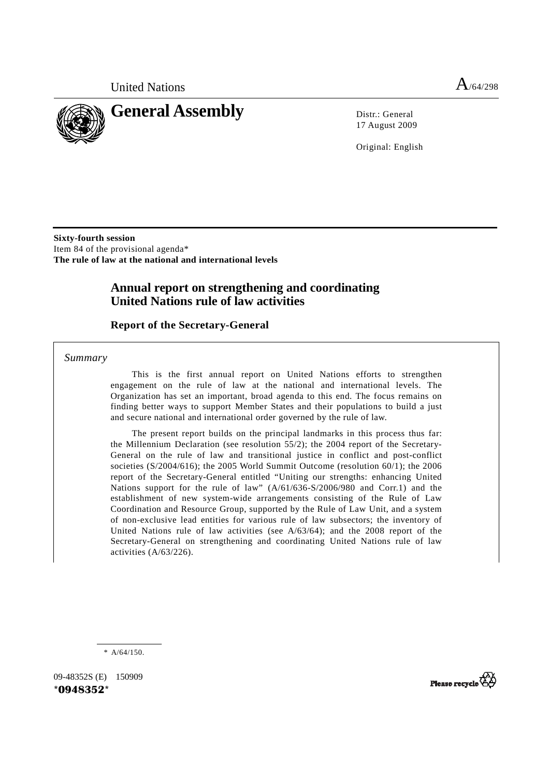



17 August 2009

Original: English

**Sixty-fourth session**  Item 84 of the provisional agenda\* **The rule of law at the national and international levels** 

# **Annual report on strengthening and coordinating United Nations rule of law activities**

## **Report of the Secretary-General**

 *Summary* 

 This is the first annual report on United Nations efforts to strengthen engagement on the rule of law at the national and international levels. The Organization has set an important, broad agenda to this end. The focus remains on finding better ways to support Member States and their populations to build a just and secure national and international order governed by the rule of law.

 The present report builds on the principal landmarks in this process thus far: the Millennium Declaration (see resolution 55/2); the 2004 report of the Secretary-General on the rule of law and transitional justice in conflict and post-conflict societies (S/2004/616); the 2005 World Summit Outcome (resolution 60/1); the 2006 report of the Secretary-General entitled "Uniting our strengths: enhancing United Nations support for the rule of law" (A/61/636-S/2006/980 and Corr.1) and the establishment of new system-wide arrangements consisting of the Rule of Law Coordination and Resource Group, supported by the Rule of Law Unit, and a system of non-exclusive lead entities for various rule of law subsectors; the inventory of United Nations rule of law activities (see A/63/64); and the 2008 report of the Secretary-General on strengthening and coordinating United Nations rule of law activities (A/63/226).

\* A/64/150.

09-48352S (E) 150909 **\*0948352\*** 

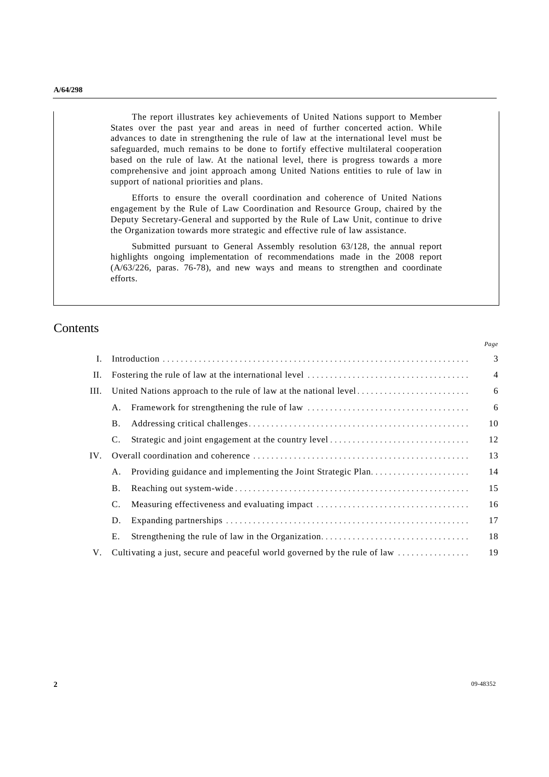The report illustrates key achievements of United Nations support to Member States over the past year and areas in need of further concerted action. While advances to date in strengthening the rule of law at the international level must be safeguarded, much remains to be done to fortify effective multilateral cooperation based on the rule of law. At the national level, there is progress towards a more comprehensive and joint approach among United Nations entities to rule of law in support of national priorities and plans.

 Efforts to ensure the overall coordination and coherence of United Nations engagement by the Rule of Law Coordination and Resource Group, chaired by the Deputy Secretary-General and supported by the Rule of Law Unit, continue to drive the Organization towards more strategic and effective rule of law assistance.

Submitted pursuant to General Assembly resolution 63/128, the annual report highlights ongoing implementation of recommendations made in the 2008 report  $(A/63/226, \text{ paras. } 76-78)$ , and new ways and means to strengthen and coordinate efforts.

# **Contents**

|      |           |                                                                                                       | 1 uge          |
|------|-----------|-------------------------------------------------------------------------------------------------------|----------------|
| I.   |           |                                                                                                       | 3              |
| II.  |           |                                                                                                       | $\overline{4}$ |
| III. |           |                                                                                                       | 6              |
|      | А.        |                                                                                                       | 6              |
|      | В.        |                                                                                                       | 10             |
|      | C.        |                                                                                                       | 12             |
| IV.  |           |                                                                                                       | 13             |
|      | Α.        | Providing guidance and implementing the Joint Strategic Plan                                          | 14             |
|      | <b>B.</b> |                                                                                                       | 15             |
|      | C.        | Measuring effectiveness and evaluating impact                                                         | 16             |
|      | D.        |                                                                                                       | 17             |
|      | Е.        |                                                                                                       | 18             |
| V.   |           | Cultivating a just, secure and peaceful world governed by the rule of law $\dots\dots\dots\dots\dots$ | 19             |

*Page*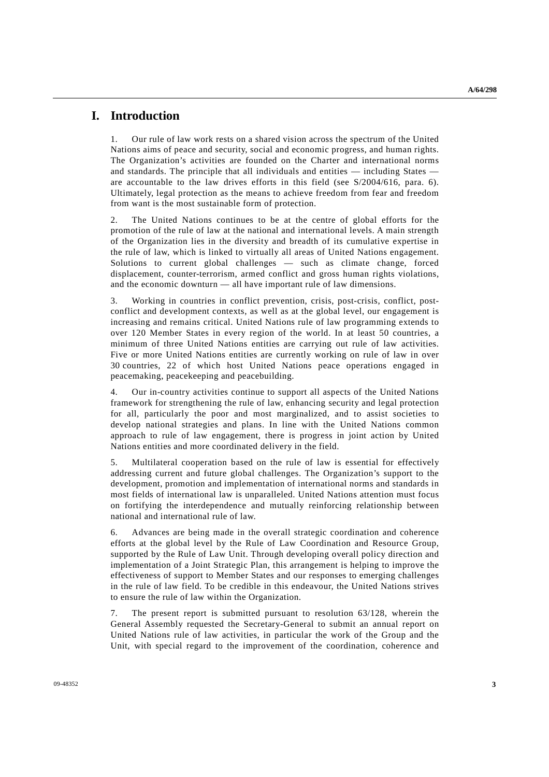# **I. Introduction**

1. Our rule of law work rests on a shared vision across the spectrum of the United Nations aims of peace and security, social and economic progress, and human rights. The Organization's activities are founded on the Charter and international norms and standards. The principle that all individuals and entities — including States are accountable to the law drives efforts in this field (see S/2004/616, para. 6). Ultimately, legal protection as the means to achieve freedom from fear and freedom from want is the most sustainable form of protection.

2. The United Nations continues to be at the centre of global efforts for the promotion of the rule of law at the national and international levels. A main strength of the Organization lies in the diversity and breadth of its cumulative expertise in the rule of law, which is linked to virtually all areas of United Nations engagement. Solutions to current global challenges — such as climate change, forced displacement, counter-terrorism, armed conflict and gross human rights violations, and the economic downturn — all have important rule of law dimensions.

3. Working in countries in conflict prevention, crisis, post-crisis, conflict, postconflict and development contexts, as well as at the global level, our engagement is increasing and remains critical. United Nations rule of law programming extends to over 120 Member States in every region of the world. In at least 50 countries, a minimum of three United Nations entities are carrying out rule of law activities. Five or more United Nations entities are currently working on rule of law in over 30 countries, 22 of which host United Nations peace operations engaged in peacemaking, peacekeeping and peacebuilding.

4. Our in-country activities continue to support all aspects of the United Nations framework for strengthening the rule of law, enhancing security and legal protection for all, particularly the poor and most marginalized, and to assist societies to develop national strategies and plans. In line with the United Nations common approach to rule of law engagement, there is progress in joint action by United Nations entities and more coordinated delivery in the field.

5. Multilateral cooperation based on the rule of law is essential for effectively addressing current and future global challenges. The Organization's support to the development, promotion and implementation of international norms and standards in most fields of international law is unparalleled. United Nations attention must focus on fortifying the interdependence and mutually reinforcing relationship between national and international rule of law.

6. Advances are being made in the overall strategic coordination and coherence efforts at the global level by the Rule of Law Coordination and Resource Group, supported by the Rule of Law Unit. Through developing overall policy direction and implementation of a Joint Strategic Plan, this arrangement is helping to improve the effectiveness of support to Member States and our responses to emerging challenges in the rule of law field. To be credible in this endeavour, the United Nations strives to ensure the rule of law within the Organization.

7. The present report is submitted pursuant to resolution 63/128, wherein the General Assembly requested the Secretary-General to submit an annual report on United Nations rule of law activities, in particular the work of the Group and the Unit, with special regard to the improvement of the coordination, coherence and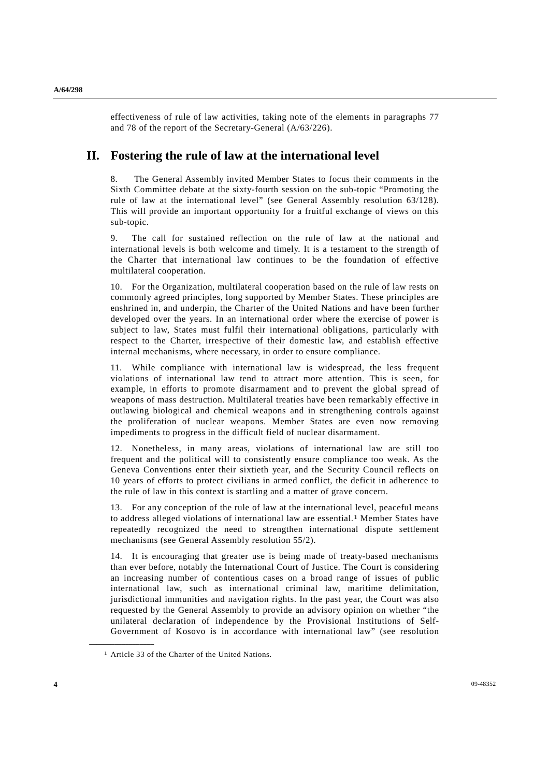effectiveness of rule of law activities, taking note of the elements in paragraphs 77 and 78 of the report of the Secretary-General (A/63/226).

# **II. Fostering the rule of law at the international level**

The General Assembly invited Member States to focus their comments in the Sixth Committee debate at the sixty-fourth session on the sub-topic "Promoting the rule of law at the international level" (see General Assembly resolution 63/128). This will provide an important opportunity for a fruitful exchange of views on this sub-topic.

9. The call for sustained reflection on the rule of law at the national and international levels is both welcome and timely. It is a testament to the strength of the Charter that international law continues to be the foundation of effective multilateral cooperation.

10. For the Organization, multilateral cooperation based on the rule of law rests on commonly agreed principles, long supported by Member States. These principles are enshrined in, and underpin, the Charter of the United Nations and have been further developed over the years. In an international order where the exercise of power is subject to law, States must fulfil their international obligations, particularly with respect to the Charter, irrespective of their domestic law, and establish effective internal mechanisms, where necessary, in order to ensure compliance.

11. While compliance with international law is widespread, the less frequent violations of international law tend to attract more attention. This is seen, for example, in efforts to promote disarmament and to prevent the global spread of weapons of mass destruction. Multilateral treaties have been remarkably effective in outlawing biological and chemical weapons and in strengthening controls against the proliferation of nuclear weapons. Member States are even now removing impediments to progress in the difficult field of nuclear disarmament.

12. Nonetheless, in many areas, violations of international law are still too frequent and the political will to consistently ensure compliance too weak. As the Geneva Conventions enter their sixtieth year, and the Security Council reflects on 10 years of efforts to protect civilians in armed conflict, the deficit in adherence to the rule of law in this context is startling and a matter of grave concern.

13. For any conception of the rule of law at the international level, peaceful means to address alleged violations of international law are essential.1 Member States have repeatedly recognized the need to strengthen international dispute settlement mechanisms (see General Assembly resolution 55/2).

14. It is encouraging that greater use is being made of treaty-based mechanisms than ever before, notably the International Court of Justice. The Court is considering an increasing number of contentious cases on a broad range of issues of public international law, such as international criminal law, maritime delimitation, jurisdictional immunities and navigation rights. In the past year, the Court was also requested by the General Assembly to provide an advisory opinion on whether "the unilateral declaration of independence by the Provisional Institutions of Self-Government of Kosovo is in accordance with international law" (see resolution

<sup>1</sup> Article 33 of the Charter of the United Nations.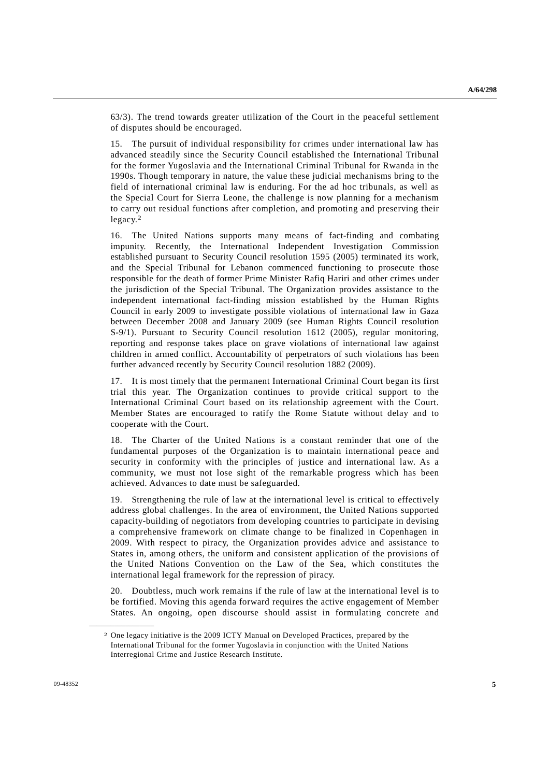63/3). The trend towards greater utilization of the Court in the peaceful settlement of disputes should be encouraged.

15. The pursuit of individual responsibility for crimes under international law has advanced steadily since the Security Council established the International Tribunal for the former Yugoslavia and the International Criminal Tribunal for Rwanda in the 1990s. Though temporary in nature, the value these judicial mechanisms bring to the field of international criminal law is enduring. For the ad hoc tribunals, as well as the Special Court for Sierra Leone, the challenge is now planning for a mechanism to carry out residual functions after completion, and promoting and preserving their legacy.2

16. The United Nations supports many means of fact-finding and combating impunity. Recently, the International Independent Investigation Commission established pursuant to Security Council resolution 1595 (2005) terminated its work, and the Special Tribunal for Lebanon commenced functioning to prosecute those responsible for the death of former Prime Minister Rafiq Hariri and other crimes under the jurisdiction of the Special Tribunal. The Organization provides assistance to the independent international fact-finding mission established by the Human Rights Council in early 2009 to investigate possible violations of international law in Gaza between December 2008 and January 2009 (see Human Rights Council resolution S-9/1). Pursuant to Security Council resolution 1612 (2005), regular monitoring, reporting and response takes place on grave violations of international law against children in armed conflict. Accountability of perpetrators of such violations has been further advanced recently by Security Council resolution 1882 (2009).

17. It is most timely that the permanent International Criminal Court began its first trial this year. The Organization continues to provide critical support to the International Criminal Court based on its relationship agreement with the Court. Member States are encouraged to ratify the Rome Statute without delay and to cooperate with the Court.

18. The Charter of the United Nations is a constant reminder that one of the fundamental purposes of the Organization is to maintain international peace and security in conformity with the principles of justice and international law. As a community, we must not lose sight of the remarkable progress which has been achieved. Advances to date must be safeguarded.

19. Strengthening the rule of law at the international level is critical to effectively address global challenges. In the area of environment, the United Nations supported capacity-building of negotiators from developing countries to participate in devising a comprehensive framework on climate change to be finalized in Copenhagen in 2009. With respect to piracy, the Organization provides advice and assistance to States in, among others, the uniform and consistent application of the provisions of the United Nations Convention on the Law of the Sea, which constitutes the international legal framework for the repression of piracy.

20. Doubtless, much work remains if the rule of law at the international level is to be fortified. Moving this agenda forward requires the active engagement of Member States. An ongoing, open discourse should assist in formulating concrete and

<sup>2</sup> One legacy initiative is the 2009 ICTY Manual on Developed Practices, prepared by the International Tribunal for the former Yugoslavia in conjunction with the United Nations Interregional Crime and Justice Research Institute.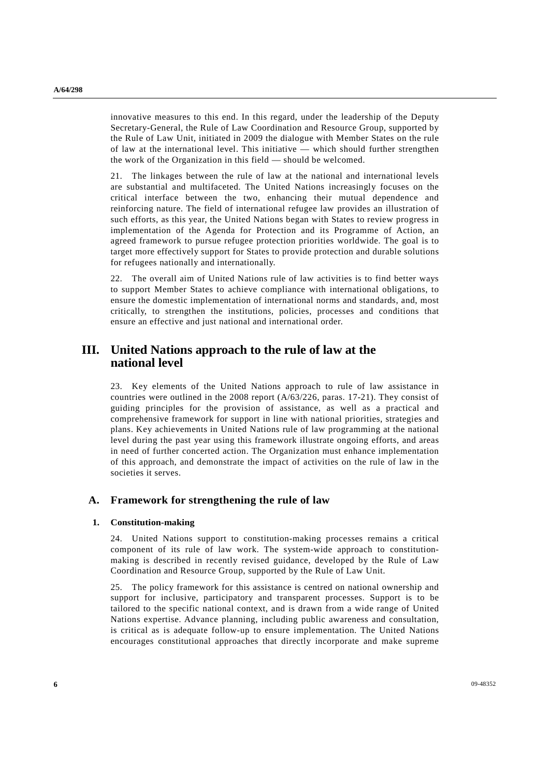innovative measures to this end. In this regard, under the leadership of the Deputy Secretary-General, the Rule of Law Coordination and Resource Group, supported by the Rule of Law Unit, initiated in 2009 the dialogue with Member States on the rule of law at the international level. This initiative — which should further strengthen the work of the Organization in this field — should be welcomed.

21. The linkages between the rule of law at the national and international levels are substantial and multifaceted. The United Nations increasingly focuses on the critical interface between the two, enhancing their mutual dependence and reinforcing nature. The field of international refugee law provides an illustration of such efforts, as this year, the United Nations began with States to review progress in implementation of the Agenda for Protection and its Programme of Action, an agreed framework to pursue refugee protection priorities worldwide. The goal is to target more effectively support for States to provide protection and durable solutions for refugees nationally and internationally.

22. The overall aim of United Nations rule of law activities is to find better ways to support Member States to achieve compliance with international obligations, to ensure the domestic implementation of international norms and standards, and, most critically, to strengthen the institutions, policies, processes and conditions that ensure an effective and just national and international order.

# **III. United Nations approach to the rule of law at the national level**

23. Key elements of the United Nations approach to rule of law assistance in countries were outlined in the 2008 report (A/63/226, paras. 17-21). They consist of guiding principles for the provision of assistance, as well as a practical and comprehensive framework for support in line with national priorities, strategies and plans. Key achievements in United Nations rule of law programming at the national level during the past year using this framework illustrate ongoing efforts, and areas in need of further concerted action. The Organization must enhance implementation of this approach, and demonstrate the impact of activities on the rule of law in the societies it serves.

## **A. Framework for strengthening the rule of law**

### **1. Constitution-making**

24. United Nations support to constitution-making processes remains a critical component of its rule of law work. The system-wide approach to constitutionmaking is described in recently revised guidance, developed by the Rule of Law Coordination and Resource Group, supported by the Rule of Law Unit.

25. The policy framework for this assistance is centred on national ownership and support for inclusive, participatory and transparent processes. Support is to be tailored to the specific national context, and is drawn from a wide range of United Nations expertise. Advance planning, including public awareness and consultation, is critical as is adequate follow-up to ensure implementation. The United Nations encourages constitutional approaches that directly incorporate and make supreme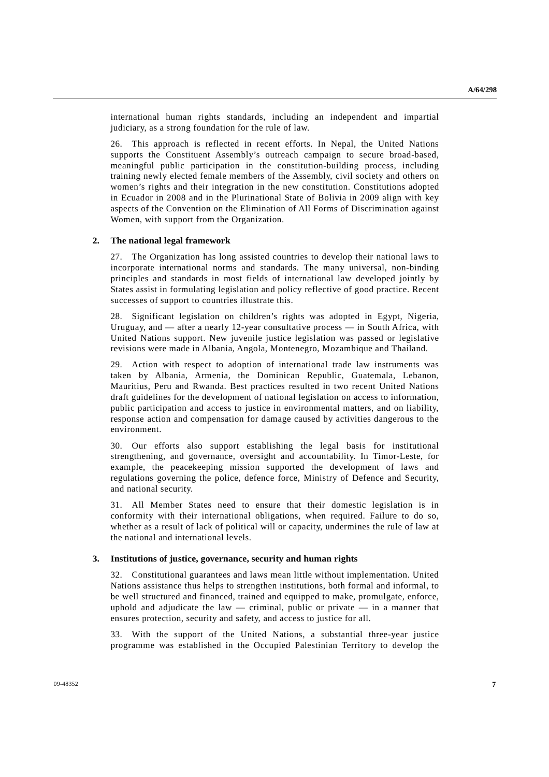international human rights standards, including an independent and impartial judiciary, as a strong foundation for the rule of law.

26. This approach is reflected in recent efforts. In Nepal, the United Nations supports the Constituent Assembly's outreach campaign to secure broad-based, meaningful public participation in the constitution-building process, including training newly elected female members of the Assembly, civil society and others on women's rights and their integration in the new constitution. Constitutions adopted in Ecuador in 2008 and in the Plurinational State of Bolivia in 2009 align with key aspects of the Convention on the Elimination of All Forms of Discrimination against Women, with support from the Organization.

#### **2. The national legal framework**

27. The Organization has long assisted countries to develop their national laws to incorporate international norms and standards. The many universal, non-binding principles and standards in most fields of international law developed jointly by States assist in formulating legislation and policy reflective of good practice. Recent successes of support to countries illustrate this.

28. Significant legislation on children's rights was adopted in Egypt, Nigeria, Uruguay, and — after a nearly 12-year consultative process — in South Africa, with United Nations support. New juvenile justice legislation was passed or legislative revisions were made in Albania, Angola, Montenegro, Mozambique and Thailand.

29. Action with respect to adoption of international trade law instruments was taken by Albania, Armenia, the Dominican Republic, Guatemala, Lebanon, Mauritius, Peru and Rwanda. Best practices resulted in two recent United Nations draft guidelines for the development of national legislation on access to information, public participation and access to justice in environmental matters, and on liability, response action and compensation for damage caused by activities dangerous to the environment.

30. Our efforts also support establishing the legal basis for institutional strengthening, and governance, oversight and accountability. In Timor-Leste, for example, the peacekeeping mission supported the development of laws and regulations governing the police, defence force, Ministry of Defence and Security, and national security.

31. All Member States need to ensure that their domestic legislation is in conformity with their international obligations, when required. Failure to do so, whether as a result of lack of political will or capacity, undermines the rule of law at the national and international levels.

#### **3. Institutions of justice, governance, security and human rights**

32. Constitutional guarantees and laws mean little without implementation. United Nations assistance thus helps to strengthen institutions, both formal and informal, to be well structured and financed, trained and equipped to make, promulgate, enforce, uphold and adjudicate the law  $-$  criminal, public or private  $-$  in a manner that ensures protection, security and safety, and access to justice for all.

33. With the support of the United Nations, a substantial three-year justice programme was established in the Occupied Palestinian Territory to develop the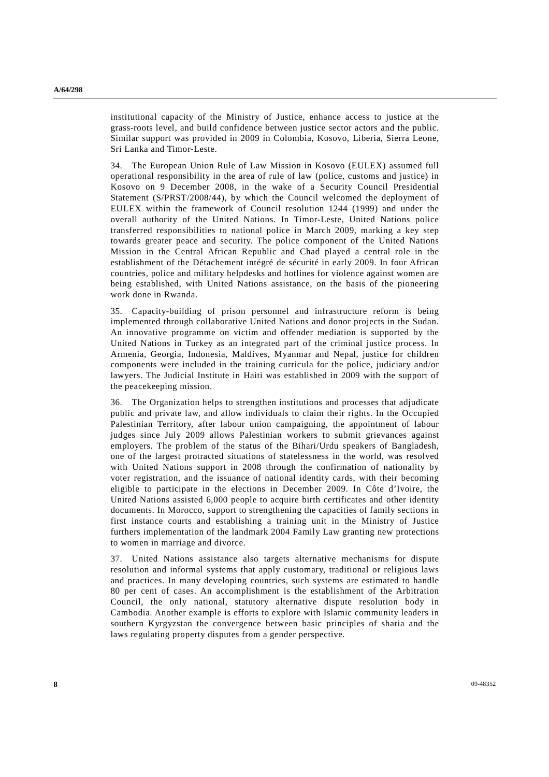institutional capacity of the Ministry of Justice, enhance access to justice at the grass-roots level, and build confidence between justice sector actors and the public. Similar support was provided in 2009 in Colombia, Kosovo, Liberia, Sierra Leone, Sri Lanka and Timor-Leste.

34. The European Union Rule of Law Mission in Kosovo (EULEX) assumed full operational responsibility in the area of rule of law (police, customs and justice) in Kosovo on 9 December 2008, in the wake of a Security Council Presidential Statement (S/PRST/2008/44), by which the Council welcomed the deployment of EULEX within the framework of Council resolution 1244 (1999) and under the overall authority of the United Nations. In Timor-Leste, United Nations police transferred responsibilities to national police in March 2009, marking a key step towards greater peace and security. The police component of the United Nations Mission in the Central African Republic and Chad played a central role in the establishment of the Détachement intégré de sécurité in early 2009. In four African countries, police and military helpdesks and hotlines for violence against women are being established, with United Nations assistance, on the basis of the pioneering work done in Rwanda.

35. Capacity-building of prison personnel and infrastructure reform is being implemented through collaborative United Nations and donor projects in the Sudan. An innovative programme on victim and offender mediation is supported by the United Nations in Turkey as an integrated part of the criminal justice process. In Armenia, Georgia, Indonesia, Maldives, Myanmar and Nepal, justice for children components were included in the training curricula for the police, judiciary and/or lawyers. The Judicial Institute in Haiti was established in 2009 with the support of the peacekeeping mission.

36. The Organization helps to strengthen institutions and processes that adjudicate public and private law, and allow individuals to claim their rights. In the Occupied Palestinian Territory, after labour union campaigning, the appointment of labour judges since July 2009 allows Palestinian workers to submit grievances against employers. The problem of the status of the Bihari/Urdu speakers of Bangladesh, one of the largest protracted situations of statelessness in the world, was resolved with United Nations support in 2008 through the confirmation of nationality by voter registration, and the issuance of national identity cards, with their becoming eligible to participate in the elections in December 2009. In Côte d'Ivoire, the United Nations assisted 6,000 people to acquire birth certificates and other identity documents. In Morocco, support to strengthening the capacities of family sections in first instance courts and establishing a training unit in the Ministry of Justice furthers implementation of the landmark 2004 Family Law granting new protections to women in marriage and divorce.

37. United Nations assistance also targets alternative mechanisms for dispute resolution and informal systems that apply customary, traditional or religious laws and practices. In many developing countries, such systems are estimated to handle 80 per cent of cases. An accomplishment is the establishment of the Arbitration Council, the only national, statutory alternative dispute resolution body in Cambodia. Another example is efforts to explore with Islamic community leaders in southern Kyrgyzstan the convergence between basic principles of sharia and the laws regulating property disputes from a gender perspective.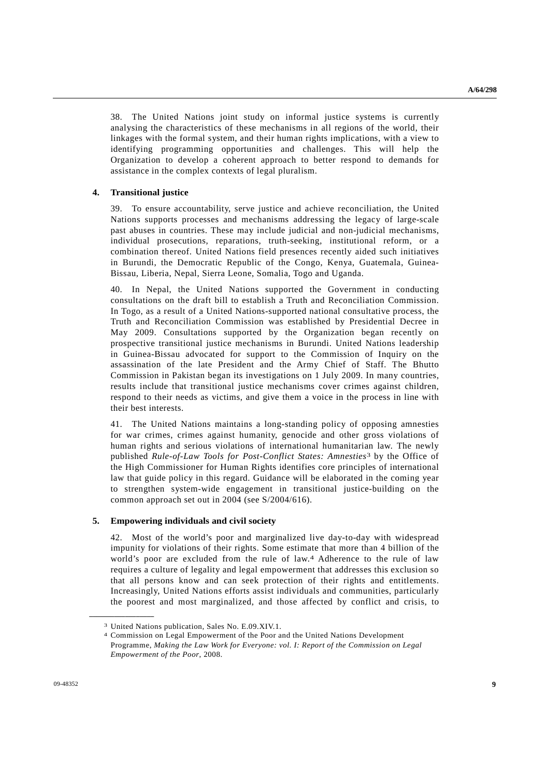38. The United Nations joint study on informal justice systems is currently analysing the characteristics of these mechanisms in all regions of the world, their linkages with the formal system, and their human rights implications, with a view to identifying programming opportunities and challenges. This will help the Organization to develop a coherent approach to better respond to demands for assistance in the complex contexts of legal pluralism.

### **4. Transitional justice**

39. To ensure accountability, serve justice and achieve reconciliation, the United Nations supports processes and mechanisms addressing the legacy of large-scale past abuses in countries. These may include judicial and non-judicial mechanisms, individual prosecutions, reparations, truth-seeking, institutional reform, or a combination thereof. United Nations field presences recently aided such initiatives in Burundi, the Democratic Republic of the Congo, Kenya, Guatemala, Guinea-Bissau, Liberia, Nepal, Sierra Leone, Somalia, Togo and Uganda.

40. In Nepal, the United Nations supported the Government in conducting consultations on the draft bill to establish a Truth and Reconciliation Commission. In Togo, as a result of a United Nations-supported national consultative process, the Truth and Reconciliation Commission was established by Presidential Decree in May 2009. Consultations supported by the Organization began recently on prospective transitional justice mechanisms in Burundi. United Nations leadership in Guinea-Bissau advocated for support to the Commission of Inquiry on the assassination of the late President and the Army Chief of Staff. The Bhutto Commission in Pakistan began its investigations on 1 July 2009. In many countries, results include that transitional justice mechanisms cover crimes against children, respond to their needs as victims, and give them a voice in the process in line with their best interests.

41. The United Nations maintains a long-standing policy of opposing amnesties for war crimes, crimes against humanity, genocide and other gross violations of human rights and serious violations of international humanitarian law. The newly published *Rule-of-Law Tools for Post-Conflict States: Amnesties*3 by the Office of the High Commissioner for Human Rights identifies core principles of international law that guide policy in this regard. Guidance will be elaborated in the coming year to strengthen system-wide engagement in transitional justice-building on the common approach set out in 2004 (see S/2004/616).

### **5. Empowering individuals and civil society**

42. Most of the world's poor and marginalized live day-to-day with widespread impunity for violations of their rights. Some estimate that more than 4 billion of the world's poor are excluded from the rule of law.<sup>4</sup> Adherence to the rule of law requires a culture of legality and legal empowerment that addresses this exclusion so that all persons know and can seek protection of their rights and entitlements. Increasingly, United Nations efforts assist individuals and communities, particularly the poorest and most marginalized, and those affected by conflict and crisis, to

<sup>3</sup> United Nations publication, Sales No. E.09.XIV.1.

<sup>4</sup> Commission on Legal Empowerment of the Poor and the United Nations Development Programme, *Making the Law Work for Everyone: vol. I: Report of the Commission on Legal Empowerment of the Poor*, 2008.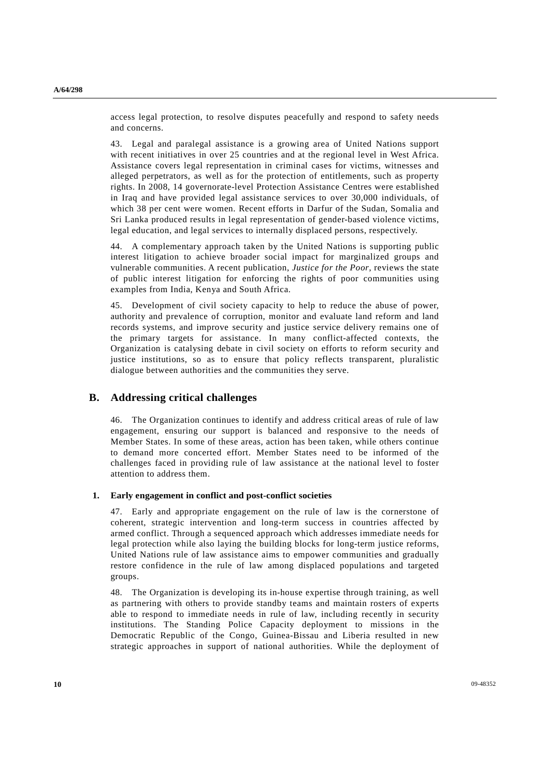access legal protection, to resolve disputes peacefully and respond to safety needs and concerns.

43. Legal and paralegal assistance is a growing area of United Nations support with recent initiatives in over 25 countries and at the regional level in West Africa. Assistance covers legal representation in criminal cases for victims, witnesses and alleged perpetrators, as well as for the protection of entitlements, such as property rights. In 2008, 14 governorate-level Protection Assistance Centres were established in Iraq and have provided legal assistance services to over 30,000 individuals, of which 38 per cent were women. Recent efforts in Darfur of the Sudan, Somalia and Sri Lanka produced results in legal representation of gender-based violence victims, legal education, and legal services to internally displaced persons, respectively.

44. A complementary approach taken by the United Nations is supporting public interest litigation to achieve broader social impact for marginalized groups and vulnerable communities. A recent publication, *Justice for the Poor*, reviews the state of public interest litigation for enforcing the rights of poor communities using examples from India, Kenya and South Africa.

45. Development of civil society capacity to help to reduce the abuse of power, authority and prevalence of corruption, monitor and evaluate land reform and land records systems, and improve security and justice service delivery remains one of the primary targets for assistance. In many conflict-affected contexts, the Organization is catalysing debate in civil society on efforts to reform security and justice institutions, so as to ensure that policy reflects transparent, pluralistic dialogue between authorities and the communities they serve.

## **B. Addressing critical challenges**

46. The Organization continues to identify and address critical areas of rule of law engagement, ensuring our support is balanced and responsive to the needs of Member States. In some of these areas, action has been taken, while others continue to demand more concerted effort. Member States need to be informed of the challenges faced in providing rule of law assistance at the national level to foster attention to address them.

#### **1. Early engagement in conflict and post-conflict societies**

47. Early and appropriate engagement on the rule of law is the cornerstone of coherent, strategic intervention and long-term success in countries affected by armed conflict. Through a sequenced approach which addresses immediate needs for legal protection while also laying the building blocks for long-term justice reforms, United Nations rule of law assistance aims to empower communities and gradually restore confidence in the rule of law among displaced populations and targeted groups.

48. The Organization is developing its in-house expertise through training, as well as partnering with others to provide standby teams and maintain rosters of experts able to respond to immediate needs in rule of law, including recently in security institutions. The Standing Police Capacity deployment to missions in the Democratic Republic of the Congo, Guinea-Bissau and Liberia resulted in new strategic approaches in support of national authorities. While the deployment of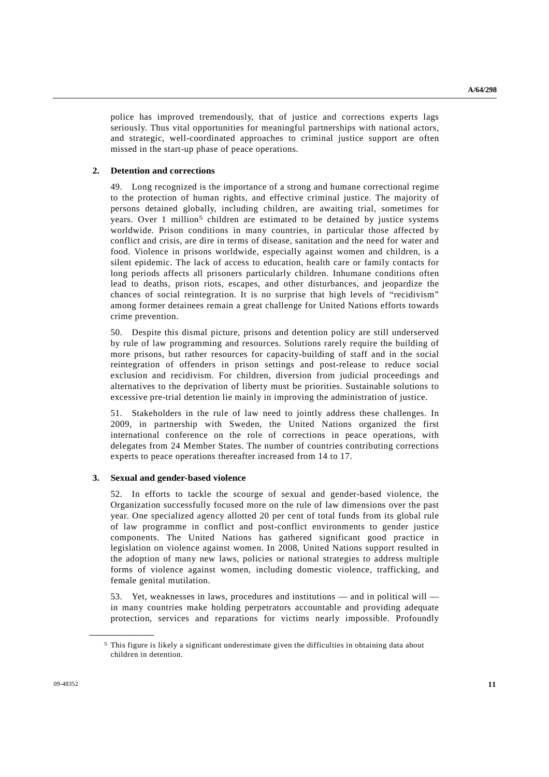police has improved tremendously, that of justice and corrections experts lags seriously. Thus vital opportunities for meaningful partnerships with national actors, and strategic, well-coordinated approaches to criminal justice support are often missed in the start-up phase of peace operations.

### **2. Detention and corrections**

49. Long recognized is the importance of a strong and humane correctional regime to the protection of human rights, and effective criminal justice. The majority of persons detained globally, including children, are awaiting trial, sometimes for years. Over 1 million<sup>5</sup> children are estimated to be detained by justice systems worldwide. Prison conditions in many countries, in particular those affected by conflict and crisis, are dire in terms of disease, sanitation and the need for water and food. Violence in prisons worldwide, especially against women and children, is a silent epidemic. The lack of access to education, health care or family contacts for long periods affects all prisoners particularly children. Inhumane conditions often lead to deaths, prison riots, escapes, and other disturbances, and jeopardize the chances of social reintegration. It is no surprise that high levels of "recidivism" among former detainees remain a great challenge for United Nations efforts towards crime prevention.

50. Despite this dismal picture, prisons and detention policy are still underserved by rule of law programming and resources. Solutions rarely require the building of more prisons, but rather resources for capacity-building of staff and in the social reintegration of offenders in prison settings and post-release to reduce social exclusion and recidivism. For children, diversion from judicial proceedings and alternatives to the deprivation of liberty must be priorities. Sustainable solutions to excessive pre-trial detention lie mainly in improving the administration of justice.

51. Stakeholders in the rule of law need to jointly address these challenges. In 2009, in partnership with Sweden, the United Nations organized the first international conference on the role of corrections in peace operations, with delegates from 24 Member States. The number of countries contributing corrections experts to peace operations thereafter increased from 14 to 17.

### **3. Sexual and gender-based violence**

52. In efforts to tackle the scourge of sexual and gender-based violence, the Organization successfully focused more on the rule of law dimensions over the past year. One specialized agency allotted 20 per cent of total funds from its global rule of law programme in conflict and post-conflict environments to gender justice components. The United Nations has gathered significant good practice in legislation on violence against women. In 2008, United Nations support resulted in the adoption of many new laws, policies or national strategies to address multiple forms of violence against women, including domestic violence, trafficking, and female genital mutilation.

53. Yet, weaknesses in laws, procedures and institutions — and in political will in many countries make holding perpetrators accountable and providing adequate protection, services and reparations for victims nearly impossible. Profoundly

<sup>5</sup> This figure is likely a significant underestimate given the difficulties in obtaining data about children in detention.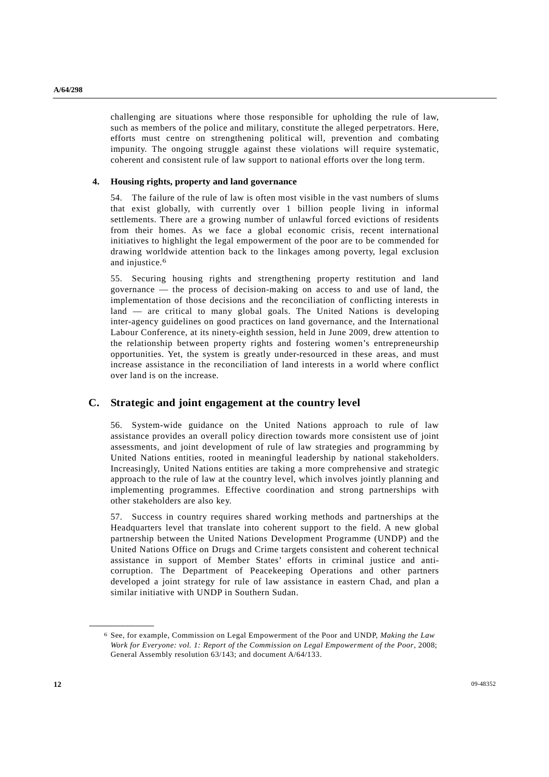challenging are situations where those responsible for upholding the rule of law, such as members of the police and military, constitute the alleged perpetrators. Here, efforts must centre on strengthening political will, prevention and combating impunity. The ongoing struggle against these violations will require systematic, coherent and consistent rule of law support to national efforts over the long term.

### **4. Housing rights, property and land governance**

54. The failure of the rule of law is often most visible in the vast numbers of slums that exist globally, with currently over 1 billion people living in informal settlements. There are a growing number of unlawful forced evictions of residents from their homes. As we face a global economic crisis, recent international initiatives to highlight the legal empowerment of the poor are to be commended for drawing worldwide attention back to the linkages among poverty, legal exclusion and injustice.6

55. Securing housing rights and strengthening property restitution and land governance — the process of decision-making on access to and use of land, the implementation of those decisions and the reconciliation of conflicting interests in land — are critical to many global goals. The United Nations is developing inter-agency guidelines on good practices on land governance, and the International Labour Conference, at its ninety-eighth session, held in June 2009, drew attention to the relationship between property rights and fostering women's entrepreneurship opportunities. Yet, the system is greatly under-resourced in these areas, and must increase assistance in the reconciliation of land interests in a world where conflict over land is on the increase.

## **C. Strategic and joint engagement at the country level**

56. System-wide guidance on the United Nations approach to rule of law assistance provides an overall policy direction towards more consistent use of joint assessments, and joint development of rule of law strategies and programming by United Nations entities, rooted in meaningful leadership by national stakeholders. Increasingly, United Nations entities are taking a more comprehensive and strategic approach to the rule of law at the country level, which involves jointly planning and implementing programmes. Effective coordination and strong partnerships with other stakeholders are also key.

57. Success in country requires shared working methods and partnerships at the Headquarters level that translate into coherent support to the field. A new global partnership between the United Nations Development Programme (UNDP) and the United Nations Office on Drugs and Crime targets consistent and coherent technical assistance in support of Member States' efforts in criminal justice and anticorruption. The Department of Peacekeeping Operations and other partners developed a joint strategy for rule of law assistance in eastern Chad, and plan a similar initiative with UNDP in Southern Sudan.

<sup>6</sup> See, for example, Commission on Legal Empowerment of the Poor and UNDP, *Making the Law Work for Everyone: vol. 1: Report of the Commission on Legal Empowerment of the Poor*, 2008; General Assembly resolution 63/143; and document A/64/133.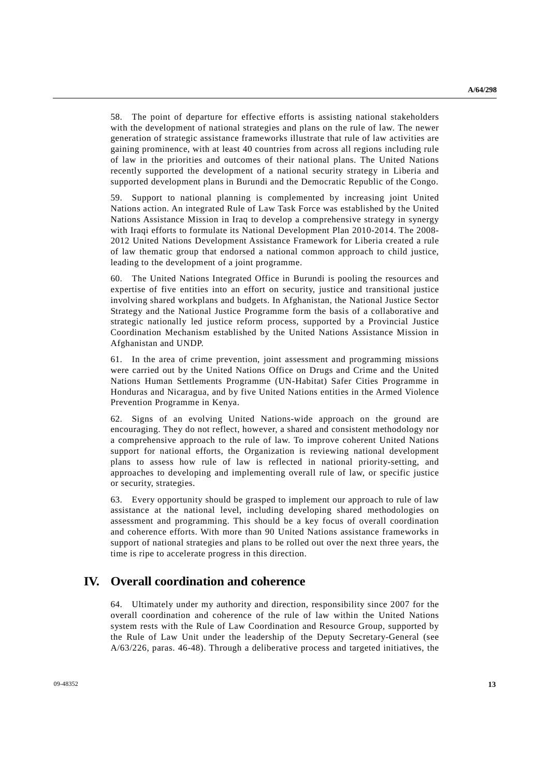58. The point of departure for effective efforts is assisting national stakeholders with the development of national strategies and plans on the rule of law. The newer generation of strategic assistance frameworks illustrate that rule of law activities are gaining prominence, with at least 40 countries from across all regions including rule of law in the priorities and outcomes of their national plans. The United Nations recently supported the development of a national security strategy in Liberia and supported development plans in Burundi and the Democratic Republic of the Congo.

59. Support to national planning is complemented by increasing joint United Nations action. An integrated Rule of Law Task Force was established by the United Nations Assistance Mission in Iraq to develop a comprehensive strategy in synergy with Iraqi efforts to formulate its National Development Plan 2010-2014. The 2008- 2012 United Nations Development Assistance Framework for Liberia created a rule of law thematic group that endorsed a national common approach to child justice, leading to the development of a joint programme.

60. The United Nations Integrated Office in Burundi is pooling the resources and expertise of five entities into an effort on security, justice and transitional justice involving shared workplans and budgets. In Afghanistan, the National Justice Sector Strategy and the National Justice Programme form the basis of a collaborative and strategic nationally led justice reform process, supported by a Provincial Justice Coordination Mechanism established by the United Nations Assistance Mission in Afghanistan and UNDP.

61. In the area of crime prevention, joint assessment and programming missions were carried out by the United Nations Office on Drugs and Crime and the United Nations Human Settlements Programme (UN-Habitat) Safer Cities Programme in Honduras and Nicaragua, and by five United Nations entities in the Armed Violence Prevention Programme in Kenya.

62. Signs of an evolving United Nations-wide approach on the ground are encouraging. They do not reflect, however, a shared and consistent methodology nor a comprehensive approach to the rule of law. To improve coherent United Nations support for national efforts, the Organization is reviewing national development plans to assess how rule of law is reflected in national priority-setting, and approaches to developing and implementing overall rule of law, or specific justice or security, strategies.

63. Every opportunity should be grasped to implement our approach to rule of law assistance at the national level, including developing shared methodologies on assessment and programming. This should be a key focus of overall coordination and coherence efforts. With more than 90 United Nations assistance frameworks in support of national strategies and plans to be rolled out over the next three years, the time is ripe to accelerate progress in this direction.

# **IV. Overall coordination and coherence**

64. Ultimately under my authority and direction, responsibility since 2007 for the overall coordination and coherence of the rule of law within the United Nations system rests with the Rule of Law Coordination and Resource Group, supported by the Rule of Law Unit under the leadership of the Deputy Secretary-General (see A/63/226, paras. 46-48). Through a deliberative process and targeted initiatives, the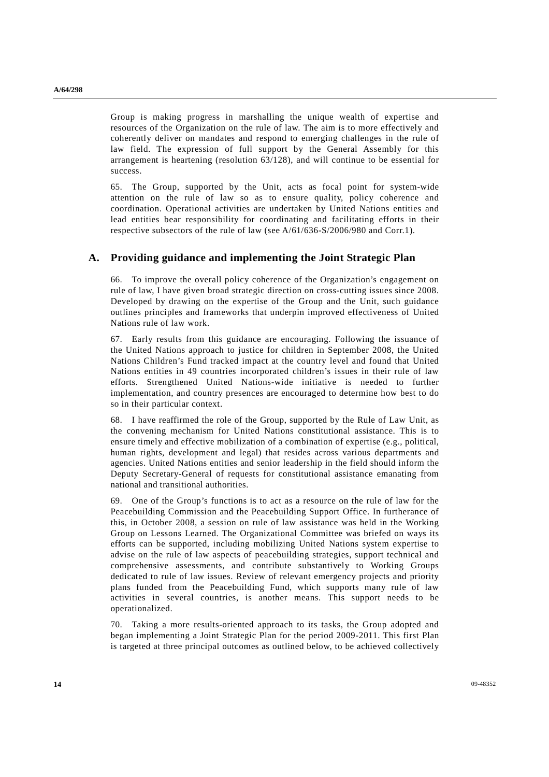Group is making progress in marshalling the unique wealth of expertise and resources of the Organization on the rule of law. The aim is to more effectively and coherently deliver on mandates and respond to emerging challenges in the rule of law field. The expression of full support by the General Assembly for this arrangement is heartening (resolution 63/128), and will continue to be essential for success.

65. The Group, supported by the Unit, acts as focal point for system-wide attention on the rule of law so as to ensure quality, policy coherence and coordination. Operational activities are undertaken by United Nations entities and lead entities bear responsibility for coordinating and facilitating efforts in their respective subsectors of the rule of law (see A/61/636-S/2006/980 and Corr.1).

## **A. Providing guidance and implementing the Joint Strategic Plan**

66. To improve the overall policy coherence of the Organization's engagement on rule of law, I have given broad strategic direction on cross-cutting issues since 2008. Developed by drawing on the expertise of the Group and the Unit, such guidance outlines principles and frameworks that underpin improved effectiveness of United Nations rule of law work.

67. Early results from this guidance are encouraging. Following the issuance of the United Nations approach to justice for children in September 2008, the United Nations Children's Fund tracked impact at the country level and found that United Nations entities in 49 countries incorporated children's issues in their rule of law efforts. Strengthened United Nations-wide initiative is needed to further implementation, and country presences are encouraged to determine how best to do so in their particular context.

68. I have reaffirmed the role of the Group, supported by the Rule of Law Unit, as the convening mechanism for United Nations constitutional assistance. This is to ensure timely and effective mobilization of a combination of expertise (e.g., political, human rights, development and legal) that resides across various departments and agencies. United Nations entities and senior leadership in the field should inform the Deputy Secretary-General of requests for constitutional assistance emanating from national and transitional authorities.

69. One of the Group's functions is to act as a resource on the rule of law for the Peacebuilding Commission and the Peacebuilding Support Office. In furtherance of this, in October 2008, a session on rule of law assistance was held in the Working Group on Lessons Learned. The Organizational Committee was briefed on ways its efforts can be supported, including mobilizing United Nations system expertise to advise on the rule of law aspects of peacebuilding strategies, support technical and comprehensive assessments, and contribute substantively to Working Groups dedicated to rule of law issues. Review of relevant emergency projects and priority plans funded from the Peacebuilding Fund, which supports many rule of law activities in several countries, is another means. This support needs to be operationalized.

70. Taking a more results-oriented approach to its tasks, the Group adopted and began implementing a Joint Strategic Plan for the period 2009-2011. This first Plan is targeted at three principal outcomes as outlined below, to be achieved collectively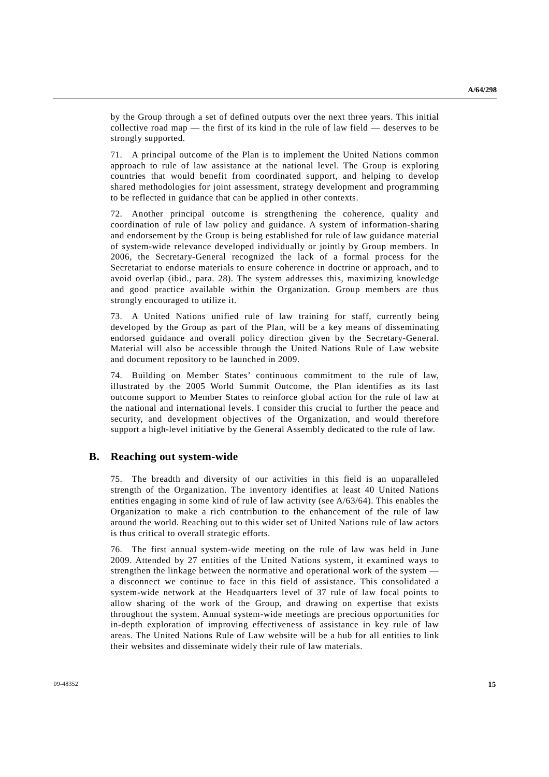by the Group through a set of defined outputs over the next three years. This initial collective road map — the first of its kind in the rule of law field — deserves to be strongly supported.

71. A principal outcome of the Plan is to implement the United Nations common approach to rule of law assistance at the national level. The Group is exploring countries that would benefit from coordinated support, and helping to develop shared methodologies for joint assessment, strategy development and programming to be reflected in guidance that can be applied in other contexts.

72. Another principal outcome is strengthening the coherence, quality and coordination of rule of law policy and guidance. A system of information-sharing and endorsement by the Group is being established for rule of law guidance material of system-wide relevance developed individually or jointly by Group members. In 2006, the Secretary-General recognized the lack of a formal process for the Secretariat to endorse materials to ensure coherence in doctrine or approach, and to avoid overlap (ibid., para. 28). The system addresses this, maximizing knowledge and good practice available within the Organization. Group members are thus strongly encouraged to utilize it.

73. A United Nations unified rule of law training for staff, currently being developed by the Group as part of the Plan, will be a key means of disseminating endorsed guidance and overall policy direction given by the Secretary-General. Material will also be accessible through the United Nations Rule of Law website and document repository to be launched in 2009.

74. Building on Member States' continuous commitment to the rule of law, illustrated by the 2005 World Summit Outcome, the Plan identifies as its last outcome support to Member States to reinforce global action for the rule of law at the national and international levels. I consider this crucial to further the peace and security, and development objectives of the Organization, and would therefore support a high-level initiative by the General Assembly dedicated to the rule of law.

### **B. Reaching out system-wide**

75. The breadth and diversity of our activities in this field is an unparalleled strength of the Organization. The inventory identifies at least 40 United Nations entities engaging in some kind of rule of law activity (see A/63/64). This enables the Organization to make a rich contribution to the enhancement of the rule of law around the world. Reaching out to this wider set of United Nations rule of law actors is thus critical to overall strategic efforts.

76. The first annual system-wide meeting on the rule of law was held in June 2009. Attended by 27 entities of the United Nations system, it examined ways to strengthen the linkage between the normative and operational work of the system a disconnect we continue to face in this field of assistance. This consolidated a system-wide network at the Headquarters level of 37 rule of law focal points to allow sharing of the work of the Group, and drawing on expertise that exists throughout the system. Annual system-wide meetings are precious opportunities for in-depth exploration of improving effectiveness of assistance in key rule of law areas. The United Nations Rule of Law website will be a hub for all entities to link their websites and disseminate widely their rule of law materials.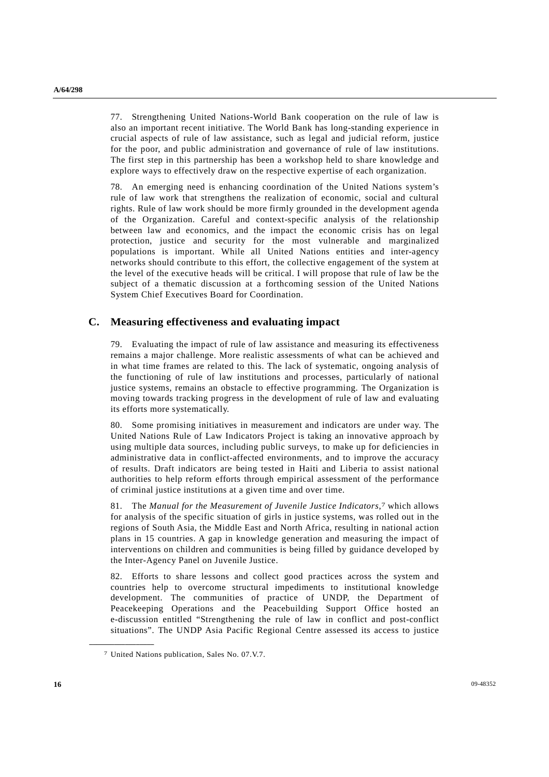77. Strengthening United Nations-World Bank cooperation on the rule of law is also an important recent initiative. The World Bank has long-standing experience in crucial aspects of rule of law assistance, such as legal and judicial reform, justice for the poor, and public administration and governance of rule of law institutions. The first step in this partnership has been a workshop held to share knowledge and explore ways to effectively draw on the respective expertise of each organization.

78. An emerging need is enhancing coordination of the United Nations system's rule of law work that strengthens the realization of economic, social and cultural rights. Rule of law work should be more firmly grounded in the development agenda of the Organization. Careful and context-specific analysis of the relationship between law and economics, and the impact the economic crisis has on legal protection, justice and security for the most vulnerable and marginalized populations is important. While all United Nations entities and inter-agency networks should contribute to this effort, the collective engagement of the system at the level of the executive heads will be critical. I will propose that rule of law be the subject of a thematic discussion at a forthcoming session of the United Nations System Chief Executives Board for Coordination.

## **C. Measuring effectiveness and evaluating impact**

79. Evaluating the impact of rule of law assistance and measuring its effectiveness remains a major challenge. More realistic assessments of what can be achieved and in what time frames are related to this. The lack of systematic, ongoing analysis of the functioning of rule of law institutions and processes, particularly of national justice systems, remains an obstacle to effective programming. The Organization is moving towards tracking progress in the development of rule of law and evaluating its efforts more systematically.

80. Some promising initiatives in measurement and indicators are under way. The United Nations Rule of Law Indicators Project is taking an innovative approach by using multiple data sources, including public surveys, to make up for deficiencies in administrative data in conflict-affected environments, and to improve the accuracy of results. Draft indicators are being tested in Haiti and Liberia to assist national authorities to help reform efforts through empirical assessment of the performance of criminal justice institutions at a given time and over time.

81. The *Manual for the Measurement of Juvenile Justice Indicators*,<sup>7</sup> which allows for analysis of the specific situation of girls in justice systems, was rolled out in the regions of South Asia, the Middle East and North Africa, resulting in national action plans in 15 countries. A gap in knowledge generation and measuring the impact of interventions on children and communities is being filled by guidance developed by the Inter-Agency Panel on Juvenile Justice.

82. Efforts to share lessons and collect good practices across the system and countries help to overcome structural impediments to institutional knowledge development. The communities of practice of UNDP, the Department of Peacekeeping Operations and the Peacebuilding Support Office hosted an e-discussion entitled "Strengthening the rule of law in conflict and post-conflict situations". The UNDP Asia Pacific Regional Centre assessed its access to justice

<sup>7</sup> United Nations publication, Sales No. 07.V.7.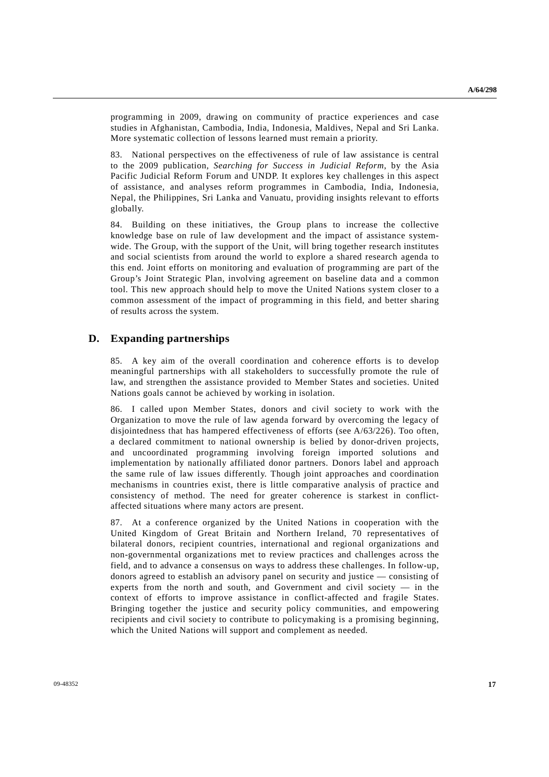programming in 2009, drawing on community of practice experiences and case studies in Afghanistan, Cambodia, India, Indonesia, Maldives, Nepal and Sri Lanka. More systematic collection of lessons learned must remain a priority.

83. National perspectives on the effectiveness of rule of law assistance is central to the 2009 publication, *Searching for Success in Judicial Reform*, by the Asia Pacific Judicial Reform Forum and UNDP. It explores key challenges in this aspect of assistance, and analyses reform programmes in Cambodia, India, Indonesia, Nepal, the Philippines, Sri Lanka and Vanuatu, providing insights relevant to efforts globally.

84. Building on these initiatives, the Group plans to increase the collective knowledge base on rule of law development and the impact of assistance systemwide. The Group, with the support of the Unit, will bring together research institutes and social scientists from around the world to explore a shared research agenda to this end. Joint efforts on monitoring and evaluation of programming are part of the Group's Joint Strategic Plan, involving agreement on baseline data and a common tool. This new approach should help to move the United Nations system closer to a common assessment of the impact of programming in this field, and better sharing of results across the system.

## **D. Expanding partnerships**

85. A key aim of the overall coordination and coherence efforts is to develop meaningful partnerships with all stakeholders to successfully promote the rule of law, and strengthen the assistance provided to Member States and societies. United Nations goals cannot be achieved by working in isolation.

86. I called upon Member States, donors and civil society to work with the Organization to move the rule of law agenda forward by overcoming the legacy of disjointedness that has hampered effectiveness of efforts (see A/63/226). Too often, a declared commitment to national ownership is belied by donor-driven projects, and uncoordinated programming involving foreign imported solutions and implementation by nationally affiliated donor partners. Donors label and approach the same rule of law issues differently. Though joint approaches and coordination mechanisms in countries exist, there is little comparative analysis of practice and consistency of method. The need for greater coherence is starkest in conflictaffected situations where many actors are present.

87. At a conference organized by the United Nations in cooperation with the United Kingdom of Great Britain and Northern Ireland, 70 representatives of bilateral donors, recipient countries, international and regional organizations and non-governmental organizations met to review practices and challenges across the field, and to advance a consensus on ways to address these challenges. In follow-up, donors agreed to establish an advisory panel on security and justice — consisting of experts from the north and south, and Government and civil society — in the context of efforts to improve assistance in conflict-affected and fragile States. Bringing together the justice and security policy communities, and empowering recipients and civil society to contribute to policymaking is a promising beginning, which the United Nations will support and complement as needed.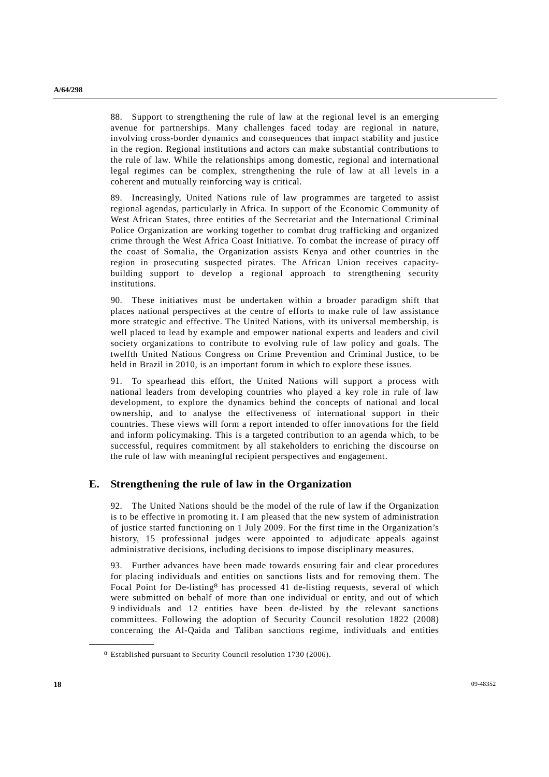88. Support to strengthening the rule of law at the regional level is an emerging avenue for partnerships. Many challenges faced today are regional in nature, involving cross-border dynamics and consequences that impact stability and justice in the region. Regional institutions and actors can make substantial contributions to the rule of law. While the relationships among domestic, regional and international legal regimes can be complex, strengthening the rule of law at all levels in a coherent and mutually reinforcing way is critical.

89. Increasingly, United Nations rule of law programmes are targeted to assist regional agendas, particularly in Africa. In support of the Economic Community of West African States, three entities of the Secretariat and the International Criminal Police Organization are working together to combat drug trafficking and organized crime through the West Africa Coast Initiative. To combat the increase of piracy off the coast of Somalia, the Organization assists Kenya and other countries in the region in prosecuting suspected pirates. The African Union receives capacitybuilding support to develop a regional approach to strengthening security institutions.

90. These initiatives must be undertaken within a broader paradigm shift that places national perspectives at the centre of efforts to make rule of law assistance more strategic and effective. The United Nations, with its universal membership, is well placed to lead by example and empower national experts and leaders and civil society organizations to contribute to evolving rule of law policy and goals. The twelfth United Nations Congress on Crime Prevention and Criminal Justice, to be held in Brazil in 2010, is an important forum in which to explore these issues.

91. To spearhead this effort, the United Nations will support a process with national leaders from developing countries who played a key role in rule of law development, to explore the dynamics behind the concepts of national and local ownership, and to analyse the effectiveness of international support in their countries. These views will form a report intended to offer innovations for the field and inform policymaking. This is a targeted contribution to an agenda which, to be successful, requires commitment by all stakeholders to enriching the discourse on the rule of law with meaningful recipient perspectives and engagement.

## **E. Strengthening the rule of law in the Organization**

92. The United Nations should be the model of the rule of law if the Organization is to be effective in promoting it. I am pleased that the new system of administration of justice started functioning on 1 July 2009. For the first time in the Organization's history, 15 professional judges were appointed to adjudicate appeals against administrative decisions, including decisions to impose disciplinary measures.

93. Further advances have been made towards ensuring fair and clear procedures for placing individuals and entities on sanctions lists and for removing them. The Focal Point for De-listing<sup>8</sup> has processed 41 de-listing requests, several of which were submitted on behalf of more than one individual or entity, and out of which 9 individuals and 12 entities have been de-listed by the relevant sanctions committees. Following the adoption of Security Council resolution 1822 (2008) concerning the Al-Qaida and Taliban sanctions regime, individuals and entities

<sup>8</sup> Established pursuant to Security Council resolution 1730 (2006).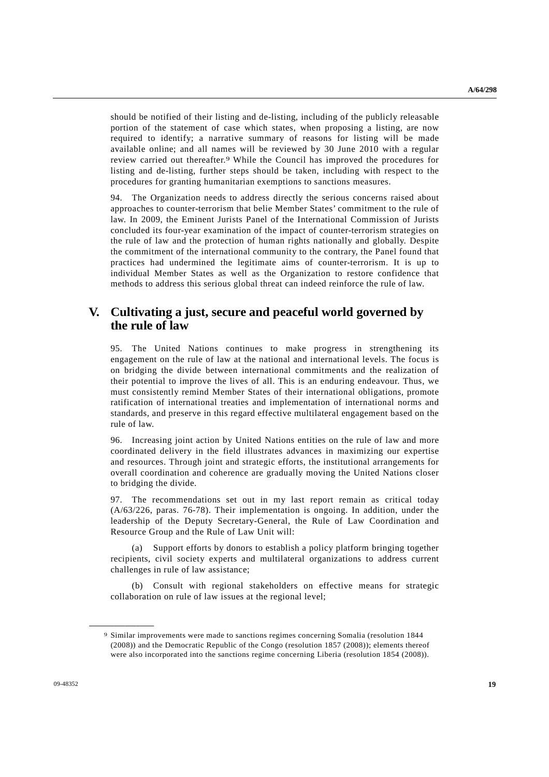should be notified of their listing and de-listing, including of the publicly releasable portion of the statement of case which states, when proposing a listing, are now required to identify; a narrative summary of reasons for listing will be made available online; and all names will be reviewed by 30 June 2010 with a regular review carried out thereafter.<sup>9</sup> While the Council has improved the procedures for listing and de-listing, further steps should be taken, including with respect to the procedures for granting humanitarian exemptions to sanctions measures.

94. The Organization needs to address directly the serious concerns raised about approaches to counter-terrorism that belie Member States' commitment to the rule of law. In 2009, the Eminent Jurists Panel of the International Commission of Jurists concluded its four-year examination of the impact of counter-terrorism strategies on the rule of law and the protection of human rights nationally and globally. Despite the commitment of the international community to the contrary, the Panel found that practices had undermined the legitimate aims of counter-terrorism. It is up to individual Member States as well as the Organization to restore confidence that methods to address this serious global threat can indeed reinforce the rule of law.

# **V. Cultivating a just, secure and peaceful world governed by the rule of law**

95. The United Nations continues to make progress in strengthening its engagement on the rule of law at the national and international levels. The focus is on bridging the divide between international commitments and the realization of their potential to improve the lives of all. This is an enduring endeavour. Thus, we must consistently remind Member States of their international obligations, promote ratification of international treaties and implementation of international norms and standards, and preserve in this regard effective multilateral engagement based on the rule of law.

96. Increasing joint action by United Nations entities on the rule of law and more coordinated delivery in the field illustrates advances in maximizing our expertise and resources. Through joint and strategic efforts, the institutional arrangements for overall coordination and coherence are gradually moving the United Nations closer to bridging the divide.

97. The recommendations set out in my last report remain as critical today (A/63/226, paras. 76-78). Their implementation is ongoing. In addition, under the leadership of the Deputy Secretary-General, the Rule of Law Coordination and Resource Group and the Rule of Law Unit will:

 (a) Support efforts by donors to establish a policy platform bringing together recipients, civil society experts and multilateral organizations to address current challenges in rule of law assistance;

 (b) Consult with regional stakeholders on effective means for strategic collaboration on rule of law issues at the regional level;

<sup>9</sup> Similar improvements were made to sanctions regimes concerning Somalia (resolution 1844 (2008)) and the Democratic Republic of the Congo (resolution 1857 (2008)); elements thereof were also incorporated into the sanctions regime concerning Liberia (resolution 1854 (2008)).